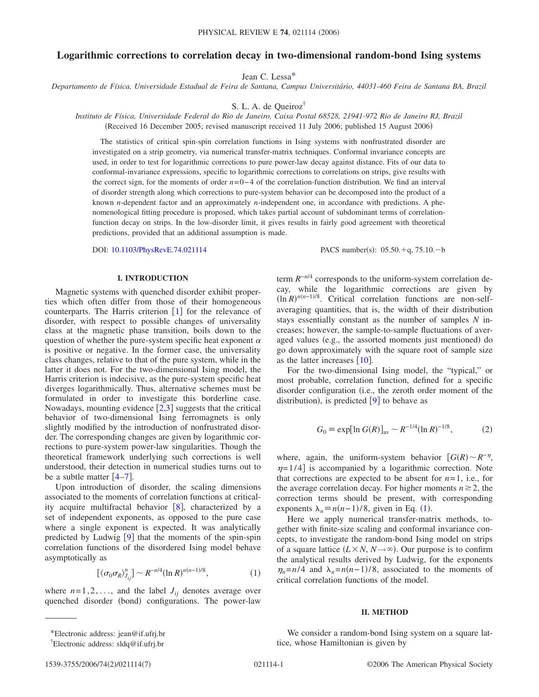# **Logarithmic corrections to correlation decay in two-dimensional random-bond Ising systems**

Jean C. Less[a\\*](#page-0-0)

*Departamento de Física, Universidade Estadual de Feira de Santana, Campus Universitário, 44031-460 Feira de Santana BA, Brazil*

S. L. A. de Queiro[z†](#page-0-0)

*Instituto de Física, Universidade Federal do Rio de Janeiro, Caixa Postal 68528, 21941-972 Rio de Janeiro RJ, Brazil* (Received 16 December 2005; revised manuscript received 11 July 2006; published 15 August 2006)

The statistics of critical spin-spin correlation functions in Ising systems with nonfrustrated disorder are investigated on a strip geometry, via numerical transfer-matrix techniques. Conformal invariance concepts are used, in order to test for logarithmic corrections to pure power-law decay against distance. Fits of our data to conformal-invariance expressions, specific to logarithmic corrections to correlations on strips, give results with the correct sign, for the moments of order *n*=0−4 of the correlation-function distribution. We find an interval of disorder strength along which corrections to pure-system behavior can be decomposed into the product of a known *n*-dependent factor and an approximately *n*-independent one, in accordance with predictions. A phenomenological fitting procedure is proposed, which takes partial account of subdominant terms of correlationfunction decay on strips. In the low-disorder limit, it gives results in fairly good agreement with theoretical predictions, provided that an additional assumption is made.

DOI: [10.1103/PhysRevE.74.021114](http://dx.doi.org/10.1103/PhysRevE.74.021114)

:  $05.50.+q, 75.10.-b$ 

### **I. INTRODUCTION**

Magnetic systems with quenched disorder exhibit properties which often differ from those of their homogeneous counterparts. The Harris criterion  $\begin{bmatrix} 1 \end{bmatrix}$  $\begin{bmatrix} 1 \end{bmatrix}$  $\begin{bmatrix} 1 \end{bmatrix}$  for the relevance of disorder, with respect to possible changes of universality class at the magnetic phase transition, boils down to the question of whether the pure-system specific heat exponent  $\alpha$ is positive or negative. In the former case, the universality class changes, relative to that of the pure system, while in the latter it does not. For the two-dimensional Ising model, the Harris criterion is indecisive, as the pure-system specific heat diverges logarithmically. Thus, alternative schemes must be formulated in order to investigate this borderline case. Nowadays, mounting evidence  $\lceil 2,3 \rceil$  $\lceil 2,3 \rceil$  $\lceil 2,3 \rceil$  $\lceil 2,3 \rceil$  suggests that the critical behavior of two-dimensional Ising ferromagnets is only slightly modified by the introduction of nonfrustrated disorder. The corresponding changes are given by logarithmic corrections to pure-system power-law singularities. Though the theoretical framework underlying such corrections is well understood, their detection in numerical studies turns out to be a subtle matter  $[4-7]$  $[4-7]$  $[4-7]$ .

Upon introduction of disorder, the scaling dimensions associated to the moments of correlation functions at criticality acquire multifractal behavior  $[8]$  $[8]$  $[8]$ , characterized by a set of independent exponents, as opposed to the pure case where a single exponent is expected. It was analytically predicted by Ludwig  $[9]$  $[9]$  $[9]$  that the moments of the spin-spin correlation functions of the disordered Ising model behave asymptotically as

$$
\left[\langle \sigma_0 \sigma_R \rangle_{J_{ij}}^n \right] \sim R^{-n/4} (\ln R)^{n(n-1)/8},\tag{1}
$$

<span id="page-0-0"></span>where  $n=1,2,...$ , and the label  $J_{ii}$  denotes average over quenched disorder (bond) configurations. The power-law

term *R*−*n*/4 corresponds to the uniform-system correlation decay, while the logarithmic corrections are given by  $(\ln R)^{n(n-1)/8}$ . Critical correlation functions are non-selfaveraging quantities, that is, the width of their distribution stays essentially constant as the number of samples *N* increases; however, the sample-to-sample fluctuations of averaged values (e.g., the assorted moments just mentioned) do go down approximately with the square root of sample size as the latter increases  $[10]$  $[10]$  $[10]$ .

For the two-dimensional Ising model, the "typical," or most probable, correlation function, defined for a specific disorder configuration (i.e., the zeroth order moment of the distribution), is predicted  $[9]$  $[9]$  $[9]$  to behave as

$$
G_0 \equiv \exp[\ln G(R)]_{\text{av}} \sim R^{-1/4} (\ln R)^{-1/8},\tag{2}
$$

<span id="page-0-1"></span>where, again, the uniform-system behavior  $[G(R) \sim R^{-\eta}]$ ,  $\eta$ =1/4 is accompanied by a logarithmic correction. Note that corrections are expected to be absent for  $n=1$ , i.e., for the average correlation decay. For higher moments  $n \ge 2$ , the correction terms should be present, with corresponding exponents  $\lambda_n \equiv n(n-1)/8$  $\lambda_n \equiv n(n-1)/8$  $\lambda_n \equiv n(n-1)/8$ , given in Eq. (1).

Here we apply numerical transfer-matrix methods, together with finite-size scaling and conformal invariance concepts, to investigate the random-bond Ising model on strips of a square lattice  $(L \times N, N \rightarrow \infty)$ . Our purpose is to confirm the analytical results derived by Ludwig, for the exponents  $\eta_n = n/4$  and  $\lambda_n = n(n-1)/8$ , associated to the moments of critical correlation functions of the model.

#### **II. METHOD**

We consider a random-bond Ising system on a square lattice, whose Hamiltonian is given by

<sup>\*</sup>Electronic address: jean@if.ufrj.br

<sup>†</sup> Electronic address: sldq@if.ufrj.br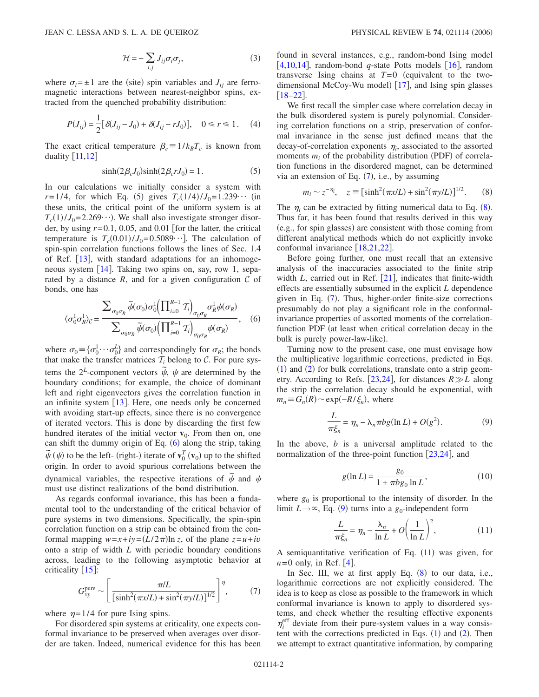$$
\mathcal{H} = -\sum_{i,j} J_{ij}\sigma_i \sigma_j,\tag{3}
$$

where  $\sigma_i = \pm 1$  are the (site) spin variables and  $J_{ij}$  are ferromagnetic interactions between nearest-neighbor spins, extracted from the quenched probability distribution:

<span id="page-1-6"></span>
$$
P(J_{ij}) = \frac{1}{2} [\delta(J_{ij} - J_0) + \delta(J_{ij} - rJ_0)], \quad 0 \le r \le 1.
$$
 (4)

The exact critical temperature  $\beta_c = 1/k_B T_c$  is known from duality  $[11,12]$  $[11,12]$  $[11,12]$  $[11,12]$ 

$$
\sinh(2\beta_c J_0)\sinh(2\beta_c r J_0) = 1.
$$
 (5)

<span id="page-1-0"></span>In our calculations we initially consider a system with  $r=1/4$ , for which Eq. ([5](#page-1-0)) gives  $T_c(1/4)/J_0=1.239\cdots$  (in these units, the critical point of the uniform system is at  $T_c(1)/J_0 = 2.269 \cdot \cdot \cdot$ ). We shall also investigate stronger disorder, by using  $r=0.1$ , 0.05, and 0.01 [for the latter, the critical temperature is  $T_c(0.01)/J_0=0.5089\cdots$ . The calculation of spin-spin correlation functions follows the lines of Sec. 1.4 of Ref. [[13](#page-6-10)], with standard adaptations for an inhomoge-neous system [[14](#page-6-11)]. Taking two spins on, say, row 1, separated by a distance  $R$ , and for a given configuration  $C$  of bonds, one has

<span id="page-1-1"></span>
$$
\langle \sigma_0^1 \sigma_R^1 \rangle_{\mathcal{C}} = \frac{\sum_{\sigma_0 \sigma_R} \widetilde{\psi}(\sigma_0) \sigma_0^1 \left( \prod_{i=0}^{R-1} T_i \right)_{\sigma_0 \sigma_R} \sigma_R^1 \psi(\sigma_R)}{\sum_{\sigma_0 \sigma_R} \widetilde{\psi}(\sigma_0) \left( \prod_{i=0}^{R-1} T_i \right)_{\sigma_0 \sigma_R} \psi(\sigma_R)}, \quad (6)
$$

where  $\sigma_0 = {\sigma_0^1 \cdots \sigma_0^L}$  and correspondingly for  $\sigma_R$ ; the bonds that make the transfer matrices  $T_i$  belong to  $C$ . For pure systems the  $2^L$ -component vectors  $\tilde{\psi}$ ,  $\psi$  are determined by the boundary conditions; for example, the choice of dominant left and right eigenvectors gives the correlation function in an infinite system  $[13]$  $[13]$  $[13]$ . Here, one needs only be concerned with avoiding start-up effects, since there is no convergence of iterated vectors. This is done by discarding the first few hundred iterates of the initial vector  $\mathbf{v}_0$ . From then on, one can shift the dummy origin of Eq. ([6](#page-1-1)) along the strip, taking  $\tilde{\psi}(\psi)$  to be the left- (right-) iterate of  $\mathbf{v}_0^T(\mathbf{v}_0)$  up to the shifted origin. In order to avoid spurious correlations between the dynamical variables, the respective iterations of  $\tilde{\psi}$  and  $\psi$ must use distinct realizations of the bond distribution.

As regards conformal invariance, this has been a fundamental tool to the understanding of the critical behavior of pure systems in two dimensions. Specifically, the spin-spin correlation function on a strip can be obtained from the conformal mapping  $w=x+iy=(L/2\pi)\ln z$ , of the plane  $z=u+iv$ onto a strip of width *L* with periodic boundary conditions across, leading to the following asymptotic behavior at criticality  $[15]$  $[15]$  $[15]$ :

$$
G_{xy}^{\text{pure}} \sim \left[ \frac{\pi/L}{\left[ \sinh^2(\pi x/L) + \sin^2(\pi y/L) \right]^{1/2}} \right]^\eta, \tag{7}
$$

<span id="page-1-2"></span>where  $\eta = 1/4$  for pure Ising spins.

For disordered spin systems at criticality, one expects conformal invariance to be preserved when averages over disorder are taken. Indeed, numerical evidence for this has been found in several instances, e.g., random-bond Ising model [[4](#page-6-3)[,10](#page-6-7)[,14](#page-6-11)], random-bond  $q$ -state Potts models [[16](#page-6-13)], random transverse Ising chains at  $T=0$  (equivalent to the twodimensional McCoy-Wu model)  $[17]$  $[17]$  $[17]$ , and Ising spin glasses  $[18-22]$  $[18-22]$  $[18-22]$ .

We first recall the simpler case where correlation decay in the bulk disordered system is purely polynomial. Considering correlation functions on a strip, preservation of conformal invariance in the sense just defined means that the decay-of-correlation exponents  $\eta_i$ , associated to the assorted moments  $m_i$  of the probability distribution (PDF) of correlation functions in the disordered magnet, can be determined via an extension of Eq.  $(7)$  $(7)$  $(7)$ , i.e., by assuming

$$
m_i \sim z^{-\eta_i}, \quad z \equiv [\sinh^2(\pi x/L) + \sin^2(\pi y/L)]^{1/2}.
$$
 (8)

<span id="page-1-3"></span>The  $\eta_i$  can be extracted by fitting numerical data to Eq.  $(8)$  $(8)$  $(8)$ . Thus far, it has been found that results derived in this way (e.g., for spin glasses) are consistent with those coming from different analytical methods which do not explicitly invoke conformal invariance  $\left[18,21,22\right]$  $\left[18,21,22\right]$  $\left[18,21,22\right]$  $\left[18,21,22\right]$  $\left[18,21,22\right]$ .

Before going further, one must recall that an extensive analysis of the inaccuracies associated to the finite strip width  $L$ , carried out in Ref.  $\left[21\right]$  $\left[21\right]$  $\left[21\right]$ , indicates that finite-width effects are essentially subsumed in the explicit *L* dependence given in Eq. ([7](#page-1-2)). Thus, higher-order finite-size corrections presumably do not play a significant role in the conformalinvariance properties of assorted moments of the correlationfunction PDF (at least when critical correlation decay in the bulk is purely power-law-like).

Turning now to the present case, one must envisage how the multiplicative logarithmic corrections, predicted in Eqs.  $(1)$  $(1)$  $(1)$  and  $(2)$  $(2)$  $(2)$  for bulk correlations, translate onto a strip geom-etry. According to Refs. [[23](#page-6-18)[,24](#page-6-19)], for distances  $R \gg L$  along the strip the correlation decay should be exponential, with  $m_n \equiv G_n(R) \sim \exp(-R/\xi_n)$ , where

$$
\frac{L}{\pi \xi_n} = \eta_n - \lambda_n \pi b g(\ln L) + O(g^2).
$$
 (9)

<span id="page-1-7"></span><span id="page-1-4"></span>In the above, *b* is a universal amplitude related to the normalization of the three-point function  $[23,24]$  $[23,24]$  $[23,24]$  $[23,24]$ , and

$$
g(\ln L) = \frac{g_0}{1 + \pi b g_0 \ln L},
$$
\n(10)

<span id="page-1-5"></span>where  $g_0$  is proportional to the intensity of disorder. In the limit  $L \rightarrow \infty$ , Eq. ([9](#page-1-4)) turns into a  $g_0$ -independent form

$$
\frac{L}{\pi \xi_n} = \eta_n - \frac{\lambda_n}{\ln L} + O\left(\frac{1}{\ln L}\right)^2,\tag{11}
$$

A semiquantitative verification of Eq.  $(11)$  $(11)$  $(11)$  was given, for  $n=0$  only, in Ref. [[4](#page-6-3)].

In Sec. III, we at first apply Eq.  $(8)$  $(8)$  $(8)$  to our data, i.e., logarithmic corrections are not explicitly considered. The idea is to keep as close as possible to the framework in which conformal invariance is known to apply to disordered systems, and check whether the resulting effective exponents  $\eta_i^{\text{eff}}$  deviate from their pure-system values in a way consistent with the corrections predicted in Eqs.  $(1)$  $(1)$  $(1)$  and  $(2)$  $(2)$  $(2)$ . Then we attempt to extract quantitative information, by comparing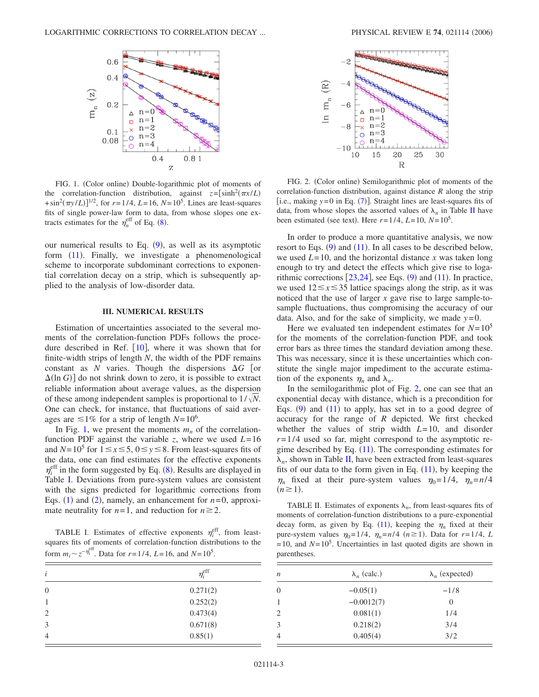<span id="page-2-0"></span>

FIG. 1. (Color online) Double-logarithmic plot of moments of the correlation-function distribution, against  $z = [\sinh^2(\pi x/L)]$  $+\sin^2(\pi y/L)$ <sup> $1/2$ </sup>, for  $r=1/4$ ,  $L=16$ ,  $N=10^5$ . Lines are least-squares fits of single power-law form to data, from whose slopes one extracts estimates for the  $\eta_n^{\text{eff}}$  of Eq. ([8](#page-1-3)).

our numerical results to Eq.  $(9)$  $(9)$  $(9)$ , as well as its asymptotic form ([11](#page-1-5)). Finally, we investigate a phenomenological scheme to incorporate subdominant corrections to exponential correlation decay on a strip, which is subsequently applied to the analysis of low-disorder data.

## **III. NUMERICAL RESULTS**

Estimation of uncertainties associated to the several moments of the correlation-function PDFs follows the procedure described in Ref.  $[10]$  $[10]$  $[10]$ , where it was shown that for finite-width strips of length *N*, the width of the PDF remains constant as *N* varies. Though the dispersions  $\Delta G$  [or  $\Delta(\ln G)$  do not shrink down to zero, it is possible to extract reliable information about average values, as the dispersion of these among independent samples is proportional to  $1/\sqrt{N}$ . One can check, for instance, that fluctuations of said averages are  $\leq 1\%$  for a strip of length  $N=10^6$ .

In Fig. [1,](#page-2-0) we present the moments  $m_n$  of the correlationfunction PDF against the variable *z*, where we used  $L=16$ and  $N=10^5$  for  $1 \le x \le 5$ ,  $0 \le y \le 8$ . From least-squares fits of the data, one can find estimates for the effective exponents  $\eta_i^{\text{eff}}$  in the form suggested by Eq. ([8](#page-1-3)). Results are displayed in Table [I.](#page-2-1) Deviations from pure-system values are consistent with the signs predicted for logarithmic corrections from Eqs. ([1](#page-0-0)) and ([2](#page-0-1)), namely, an enhancement for  $n=0$ , approximate neutrality for  $n=1$ , and reduction for  $n \ge 2$ .

<span id="page-2-1"></span>TABLE I. Estimates of effective exponents  $\eta_i^{\text{eff}}$ , from leastsquares fits of moments of correlation-function distributions to the form  $m_i \sim z^{-\eta_i^{\text{eff}}}$ . Data for  $r = 1/4$ ,  $L = 16$ , and  $N = 10^5$ .

| i              | $\eta_{i}^{\text{eff}}$ |
|----------------|-------------------------|
| $\overline{0}$ | 0.271(2)                |
| 1              | 0.252(2)                |
| 2              | 0.473(4)                |
| 3              | 0.671(8)                |
| 4              | 0.85(1)                 |

<span id="page-2-2"></span>

FIG. 2. (Color online) Semilogarithmic plot of moments of the correlation-function distribution, against distance *R* along the strip [i.e., making  $y=0$  in Eq. ([7](#page-1-2))]. Straight lines are least-squares fits of data, from whose slopes the assorted values of  $\lambda_n$  in Table [II](#page-2-3) have been estimated (see text). Here  $r = 1/4$ ,  $L = 10$ ,  $N = 10^5$ .

In order to produce a more quantitative analysis, we now resort to Eqs.  $(9)$  $(9)$  $(9)$  and  $(11)$  $(11)$  $(11)$ . In all cases to be described below, we used  $L=10$ , and the horizontal distance *x* was taken long enough to try and detect the effects which give rise to logarithmic corrections  $[23,24]$  $[23,24]$  $[23,24]$  $[23,24]$ , see Eqs.  $(9)$  $(9)$  $(9)$  and  $(11)$  $(11)$  $(11)$ . In practice, we used  $12 \le x \le 35$  lattice spacings along the strip, as it was noticed that the use of larger *x* gave rise to large sample-tosample fluctuations, thus compromising the accuracy of our data. Also, and for the sake of simplicity, we made  $y=0$ .

Here we evaluated ten independent estimates for  $N=10^5$ for the moments of the correlation-function PDF, and took error bars as three times the standard deviation among these. This was necessary, since it is these uncertainties which constitute the single major impediment to the accurate estimation of the exponents  $\eta_n$  and  $\lambda_n$ .

In the semilogarithmic plot of Fig. [2,](#page-2-2) one can see that an exponential decay with distance, which is a precondition for Eqs.  $(9)$  $(9)$  $(9)$  and  $(11)$  $(11)$  $(11)$  to apply, has set in to a good degree of accuracy for the range of *R* depicted. We first checked whether the values of strip width *L*=10, and disorder *r*=1/4 used so far, might correspond to the asymptotic regime described by Eq.  $(11)$  $(11)$  $(11)$ . The corresponding estimates for  $\lambda_n$ , shown in Table [II,](#page-2-3) have been extracted from least-squares fits of our data to the form given in Eq.  $(11)$  $(11)$  $(11)$ , by keeping the  $\eta_n$  fixed at their pure-system values  $\eta_0=1/4$ ,  $\eta_n=n/4$  $(n \geq 1)$ .

<span id="page-2-3"></span>TABLE II. Estimates of exponents  $\lambda_n$ , from least-squares fits of moments of correlation-function distributions to a pure-exponential decay form, as given by Eq.  $(11)$  $(11)$  $(11)$ , keeping the  $\eta_n$  fixed at their pure-system values  $\eta_0 = 1/4$ ,  $\eta_n = n/4$  ( $n \ge 1$ ). Data for  $r = 1/4$ , *L*  $=10$ , and  $N=10<sup>5</sup>$ . Uncertainties in last quoted digits are shown in parentheses.

| $\boldsymbol{n}$ | $\lambda_n$ (calc.) | $\lambda_n$ (expected) |
|------------------|---------------------|------------------------|
| 0                | $-0.05(1)$          | $-1/8$                 |
|                  | $-0.0012(7)$        | $\theta$               |
| 2                | 0.081(1)            | 1/4                    |
| 3                | 0.218(2)            | 3/4                    |
|                  | 0.405(4)            | 3/2                    |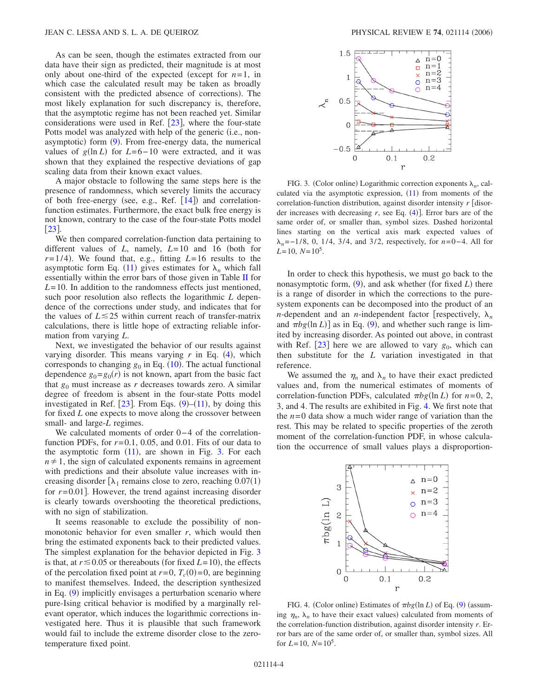As can be seen, though the estimates extracted from our data have their sign as predicted, their magnitude is at most only about one-third of the expected (except for  $n=1$ , in which case the calculated result may be taken as broadly consistent with the predicted absence of corrections). The most likely explanation for such discrepancy is, therefore, that the asymptotic regime has not been reached yet. Similar considerations were used in Ref.  $[23]$  $[23]$  $[23]$ , where the four-state Potts model was analyzed with help of the generic (i.e., non-asymptotic) form ([9](#page-1-4)). From free-energy data, the numerical values of  $g(\ln L)$  for  $L=6-10$  were extracted, and it was shown that they explained the respective deviations of gap scaling data from their known exact values.

A major obstacle to following the same steps here is the presence of randomness, which severely limits the accuracy of both free-energy (see, e.g., Ref. [[14](#page-6-11)]) and correlationfunction estimates. Furthermore, the exact bulk free energy is not known, contrary to the case of the four-state Potts model  $\lceil 23 \rceil$  $\lceil 23 \rceil$  $\lceil 23 \rceil$ .

We then compared correlation-function data pertaining to different values of  $L$ , namely,  $L=10$  and 16 (both for  $r=1/4$ ). We found that, e.g., fitting  $L=16$  results to the asymptotic form Eq. ([11](#page-1-5)) gives estimates for  $\lambda_n$  which fall essentially within the error bars of those given in Table [II](#page-2-3) for *L*=10. In addition to the randomness effects just mentioned, such poor resolution also reflects the logarithmic *L* dependence of the corrections under study, and indicates that for the values of  $L \le 25$  within current reach of transfer-matrix calculations, there is little hope of extracting reliable information from varying *L*.

Next, we investigated the behavior of our results against varying disorder. This means varying  $r$  in Eq. ([4](#page-1-6)), which corresponds to changing  $g_0$  in Eq.  $(10)$  $(10)$  $(10)$ . The actual functional dependence  $g_0 = g_0(r)$  is not known, apart from the basic fact that  $g_0$  must increase as  $r$  decreases towards zero. A similar degree of freedom is absent in the four-state Potts model investigated in Ref. [[23](#page-6-18)]. From Eqs.  $(9)$  $(9)$  $(9)$ – $(11)$  $(11)$  $(11)$ , by doing this for fixed *L* one expects to move along the crossover between small- and large-*L* regimes.

We calculated moments of order 0−4 of the correlationfunction PDFs, for  $r=0.1$ , 0.05, and 0.01. Fits of our data to the asymptotic form  $(11)$  $(11)$  $(11)$ , are shown in Fig. [3.](#page-3-0) For each  $n \neq 1$ , the sign of calculated exponents remains in agreement with predictions and their absolute value increases with increasing disorder  $[\lambda_1$  remains close to zero, reaching  $0.07(1)$ for  $r=0.01$ . However, the trend against increasing disorder is clearly towards overshooting the theoretical predictions, with no sign of stabilization.

It seems reasonable to exclude the possibility of nonmonotonic behavior for even smaller *r*, which would then bring the estimated exponents back to their predicted values. The simplest explanation for the behavior depicted in Fig. [3](#page-3-0) is that, at  $r \le 0.05$  or thereabouts (for fixed  $L = 10$ ), the effects of the percolation fixed point at  $r=0$ ,  $T_c(0)=0$ , are beginning to manifest themselves. Indeed, the description synthesized in Eq. ([9](#page-1-4)) implicitly envisages a perturbation scenario where pure-Ising critical behavior is modified by a marginally relevant operator, which induces the logarithmic corrections investigated here. Thus it is plausible that such framework would fail to include the extreme disorder close to the zerotemperature fixed point.

<span id="page-3-0"></span>

FIG. 3. (Color online) Logarithmic correction exponents  $\lambda_n$ , calculated via the asymptotic expression,  $(11)$  $(11)$  $(11)$  from moments of the correlation-function distribution, against disorder intensity  $r$  [disorder increases with decreasing  $r$ , see Eq.  $(4)$  $(4)$  $(4)$ ]. Error bars are of the same order of, or smaller than, symbol sizes. Dashed horizontal lines starting on the vertical axis mark expected values of *n*=−1/8, 0, 1/4, 3/4, and 3/2, respectively, for *n*=0−4. All for  $L=10$ ,  $N=10^5$ .

In order to check this hypothesis, we must go back to the nonasymptotic form, ([9](#page-1-4)), and ask whether (for fixed *L*) there is a range of disorder in which the corrections to the puresystem exponents can be decomposed into the product of an *n*-dependent and an *n*-independent factor [respectively,  $\lambda_n$ and  $\pi bg(\ln L)$  as in Eq. ([9](#page-1-4)), and whether such range is limited by increasing disorder. As pointed out above, in contrast with Ref.  $[23]$  $[23]$  $[23]$  here we are allowed to vary  $g_0$ , which can then substitute for the *L* variation investigated in that reference.

We assumed the  $\eta_n$  and  $\lambda_n$  to have their exact predicted values and, from the numerical estimates of moments of correlation-function PDFs, calculated  $\pi bg(\ln L)$  for  $n=0, 2$ , 3, and 4. The results are exhibited in Fig. [4.](#page-3-1) We first note that the  $n=0$  data show a much wider range of variation than the rest. This may be related to specific properties of the zeroth moment of the correlation-function PDF, in whose calculation the occurrence of small values plays a disproportion-

<span id="page-3-1"></span>

FIG. 4. (Color online) Estimates of  $\pi bg(\ln L)$  of Eq. ([9](#page-1-4)) (assuming  $\eta_n$ ,  $\lambda_n$  to have their exact values) calculated from moments of the correlation-function distribution, against disorder intensity *r*. Error bars are of the same order of, or smaller than, symbol sizes. All for  $L=10$ ,  $N=10^5$ .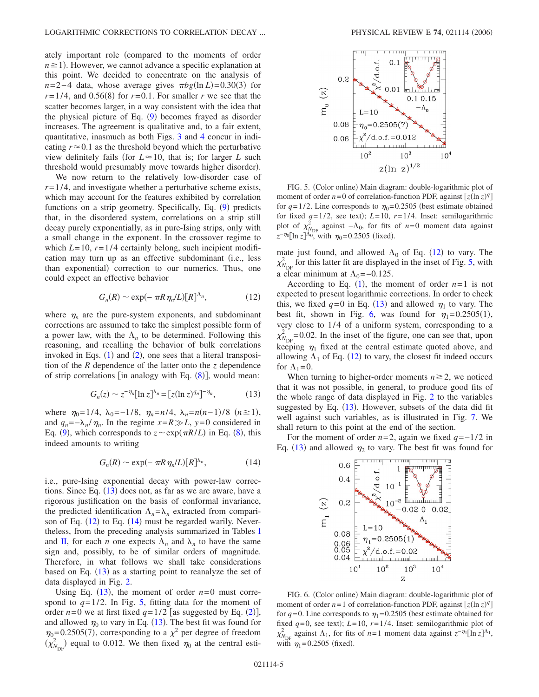ately important role compared to the moments of order  $n \geq 1$ ). However, we cannot advance a specific explanation at this point. We decided to concentrate on the analysis of  $n=2-4$  data, whose average gives  $\pi b g(\ln L) = 0.30(3)$  for  $r=1/4$ , and 0.56(8) for  $r=0.1$ . For smaller *r* we see that the scatter becomes larger, in a way consistent with the idea that the physical picture of Eq. ([9](#page-1-4)) becomes frayed as disorder increases. The agreement is qualitative and, to a fair extent, quantitative, inasmuch as both Figs. [3](#page-3-0) and [4](#page-3-1) concur in indicating  $r \approx 0.1$  as the threshold beyond which the perturbative view definitely fails (for  $L \approx 10$ , that is; for larger *L* such threshold would presumably move towards higher disorder).

We now return to the relatively low-disorder case of  $r=1/4$ , and investigate whether a perturbative scheme exists, which may account for the features exhibited by correlation functions on a strip geometry. Specifically, Eq. ([9](#page-1-4)) predicts that, in the disordered system, correlations on a strip still decay purely exponentially, as in pure-Ising strips, only with a small change in the exponent. In the crossover regime to which  $L=10$ ,  $r=1/4$  certainly belong, such incipient modification may turn up as an effective subdominant (i.e., less than exponential) correction to our numerics. Thus, one could expect an effective behavior

$$
G_n(R) \sim \exp(-\pi R \eta_n/L)[R]^{\Lambda_n},\qquad (12)
$$

<span id="page-4-1"></span>where  $\eta_n$  are the pure-system exponents, and subdominant corrections are assumed to take the simplest possible form of a power law, with the  $\Lambda_n$  to be determined. Following this reasoning, and recalling the behavior of bulk correlations invoked in Eqs.  $(1)$  $(1)$  $(1)$  and  $(2)$  $(2)$  $(2)$ , one sees that a literal transposition of the *R* dependence of the latter onto the *z* dependence of strip correlations [in analogy with Eq. ([8](#page-1-3))], would mean:

$$
G_n(z) \sim z^{-\eta_n} [\ln z]^{\lambda_n} = [z(\ln z)^{q_n}]^{-\eta_n},\tag{13}
$$

<span id="page-4-0"></span>where  $\eta_0 = 1/4$ ,  $\lambda_0 = -1/8$ ,  $\eta_n = n/4$ ,  $\lambda_n = n(n-1)/8$   $(n \ge 1)$ , and  $q_n = -\lambda_n / \eta_n$ . In the regime  $x = R \gg L$ ,  $y = 0$  considered in Eq. ([9](#page-1-4)), which corresponds to  $z \sim \exp(\pi R/L)$  in Eq. ([8](#page-1-3)), this indeed amounts to writing

$$
G_n(R) \sim \exp(-\pi R \eta_n/L)[R]^{\lambda_n},\tag{14}
$$

<span id="page-4-2"></span>i.e., pure-Ising exponential decay with power-law corrections. Since Eq.  $(13)$  $(13)$  $(13)$  does not, as far as we are aware, have a rigorous justification on the basis of conformal invariance, the predicted identification  $\Lambda_n = \lambda_n$  extracted from comparison of Eq.  $(12)$  $(12)$  $(12)$  to Eq.  $(14)$  $(14)$  $(14)$  must be regarded warily. Nevertheless, from the preceding analysis summarized in Tables [I](#page-2-1) and [II,](#page-2-3) for each *n* one expects  $\Lambda_n$  and  $\lambda_n$  to have the same sign and, possibly, to be of similar orders of magnitude. Therefore, in what follows we shall take considerations based on Eq.  $(13)$  $(13)$  $(13)$  as a starting point to reanalyze the set of data displayed in Fig. [2.](#page-2-2)

Using Eq.  $(13)$  $(13)$  $(13)$ , the moment of order  $n=0$  must correspond to  $q=1/2$ . In Fig. [5,](#page-4-3) fitting data for the moment of order  $n=0$  we at first fixed  $q=1/2$  $q=1/2$  [as suggested by Eq. (2)], and allowed  $\eta_0$  to vary in Eq. ([13](#page-4-0)). The best fit was found for  $\eta_0$ =0.2505(7), corresponding to a  $\chi^2$  per degree of freedom  $(\chi^2_{N_{\text{DF}}})$  equal to 0.012. We then fixed  $\eta_0$  at the central esti-

<span id="page-4-3"></span>

FIG. 5. (Color online) Main diagram: double-logarithmic plot of moment of order  $n=0$  of correlation-function PDF, against  $[z(\ln z)^q]$ for  $q=1/2$ . Line corresponds to  $\eta_0=0.2505$  (best estimate obtained for fixed  $q=1/2$ , see text);  $L=10$ ,  $r=1/4$ . Inset: semilogarithmic plot of  $\chi^2_{N_{\text{DF}}}$  against  $-\Lambda_0$ , for fits of *n*=0 moment data against  $z^{-\eta_0}[\ln z]^{A_0}$ , with  $\eta_0$ =0.2505 (fixed).

mate just found, and allowed  $\Lambda_0$  of Eq. ([12](#page-4-1)) to vary. The  $\chi^2_{N_{\text{DF}}}$  for this latter fit are displayed in the inset of Fig. [5,](#page-4-3) with a clear minimum at  $\Lambda_0$ =−0.125.

According to Eq.  $(1)$  $(1)$  $(1)$ , the moment of order  $n=1$  is not expected to present logarithmic corrections. In order to check this, we fixed  $q=0$  in Eq. ([13](#page-4-0)) and allowed  $\eta_1$  to vary. The best fit, shown in Fig. [6,](#page-4-4) was found for  $\eta_1 = 0.2505(1)$ , very close to 1/4 of a uniform system, corresponding to a  $\chi^2_{N_{\text{DF}}}$  = 0.02. In the inset of the figure, one can see that, upon keeping  $\eta_1$  fixed at the central estimate quoted above, and allowing  $\Lambda_1$  of Eq. ([12](#page-4-1)) to vary, the closest fit indeed occurs for  $\Lambda_1=0$ .

When turning to higher-order moments  $n \geq 2$ , we noticed that it was not possible, in general, to produce good fits of the whole range of data displayed in Fig. [2](#page-2-2) to the variables suggested by Eq. ([13](#page-4-0)). However, subsets of the data did fit well against such variables, as is illustrated in Fig. [7.](#page-5-0) We shall return to this point at the end of the section.

<span id="page-4-4"></span>For the moment of order *n*=2, again we fixed *q*=−1/2 in Eq. ([13](#page-4-0)) and allowed  $\eta_2$  to vary. The best fit was found for



FIG. 6. (Color online) Main diagram: double-logarithmic plot of moment of order  $n=1$  of correlation-function PDF, against  $[z(\ln z)^q]$ for  $q=0$ . Line corresponds to  $\eta_1=0.2505$  (best estimate obtained for fixed  $q=0$ , see text);  $L=10$ ,  $r=1/4$ . Inset: semilogarithmic plot of  $\chi^2_{N_{\text{DF}}}$  against  $\Lambda_1$ , for fits of *n*=1 moment data against  $z^{-\eta_1}[\ln z]^{\Lambda_1}$ , with  $\eta_1 = 0.2505$  (fixed).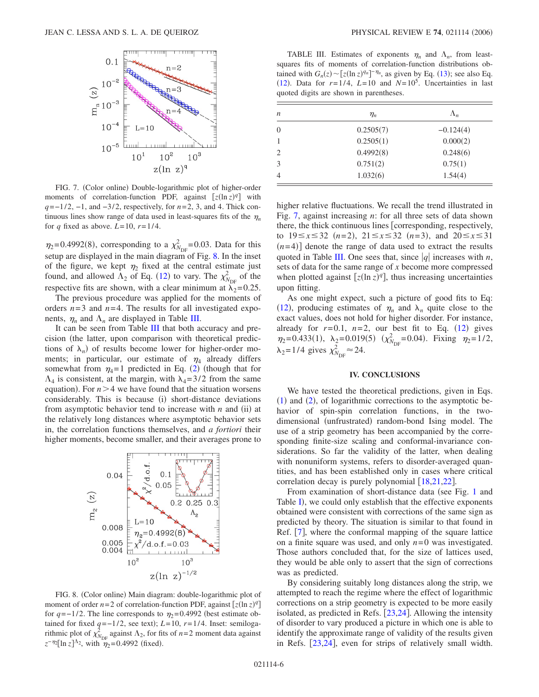<span id="page-5-0"></span>

FIG. 7. (Color online) Double-logarithmic plot of higher-order moments of correlation-function PDF, against  $[z(\ln z)^q]$  with *q*=−1/2, −1, and −3/2, respectively, for *n*=2, 3, and 4. Thick continuous lines show range of data used in least-squares fits of the  $\eta_n$ for *q* fixed as above.  $L=10$ ,  $r=1/4$ .

 $\eta_2$ =0.4992(8), corresponding to a  $\chi^2_{N_{\text{DF}}}$ =0.03. Data for this setup are displayed in the main diagram of Fig. [8.](#page-5-1) In the inset of the figure, we kept  $\eta_2$  fixed at the central estimate just found, and allowed  $\Lambda_2$  of Eq. ([12](#page-4-1)) to vary. The  $\chi^2_{N_{\text{DF}}}$  of the respective fits are shown, with a clear minimum at  $\lambda_2=0.25$ .

The previous procedure was applied for the moments of orders  $n=3$  and  $n=4$ . The results for all investigated exponents,  $\eta_n$  and  $\Lambda_n$  are displayed in Table [III.](#page-5-2)

It can be seen from Table [III](#page-5-2) that both accuracy and precision (the latter, upon comparison with theoretical predictions of  $\lambda_n$ ) of results become lower for higher-order moments; in particular, our estimate of  $\eta_4$  already differs somewhat from  $\eta_4 = 1$  predicted in Eq. ([2](#page-0-1)) (though that for  $\Lambda_4$  is consistent, at the margin, with  $\lambda_4=3/2$  from the same equation). For  $n > 4$  we have found that the situation worsens considerably. This is because (i) short-distance deviations from asymptotic behavior tend to increase with  $n$  and (ii) at the relatively long distances where asymptotic behavior sets in, the correlation functions themselves, and *a fortiori* their higher moments, become smaller, and their averages prone to

<span id="page-5-1"></span>

FIG. 8. (Color online) Main diagram: double-logarithmic plot of moment of order  $n=2$  of correlation-function PDF, against  $[z(\ln z)^q]$ for  $q=-1/2$ . The line corresponds to  $\eta_2=0.4992$  (best estimate obtained for fixed  $q = -1/2$ , see text);  $L = 10$ ,  $r = 1/4$ . Inset: semilogarithmic plot of  $\chi^2_{N_{\text{DF}}}$  against  $\Lambda_2$ , for fits of *n*=2 moment data against  $z^{-\eta_2}[\ln z]^{\Lambda_2}$ , with  $\eta_2$ =0.4992 (fixed).

<span id="page-5-2"></span>TABLE III. Estimates of exponents  $\eta_n$  and  $\Lambda_n$ , from leastsquares fits of moments of correlation-function distributions obtained with  $G_n(z) \sim [z(\ln z)^{q_n}]^{-\eta_n}$ , as given by Eq. ([13](#page-4-0)); see also Eq.  $(12)$  $(12)$  $(12)$ . Data for  $r=1/4$ ,  $L=10$  and  $N=10<sup>5</sup>$ . Uncertainties in last quoted digits are shown in parentheses.

| n                           | $\eta_n$  | $\Lambda_n$ |
|-----------------------------|-----------|-------------|
| 0                           | 0.2505(7) | $-0.124(4)$ |
|                             | 0.2505(1) | 0.000(2)    |
| $\mathcal{D}_{\mathcal{L}}$ | 0.4992(8) | 0.248(6)    |
| 3                           | 0.751(2)  | 0.75(1)     |
|                             | 1.032(6)  | 1.54(4)     |

higher relative fluctuations. We recall the trend illustrated in Fig. [7,](#page-5-0) against increasing *n*: for all three sets of data shown there, the thick continuous lines  $\lceil$  corresponding, respectively, to  $19 \le x \le 32$   $(n=2)$ ,  $21 \le x \le 32$   $(n=3)$ , and  $20 \le x \le 31$  $(n=4)$ ] denote the range of data used to extract the results quoted in Table [III.](#page-5-2) One sees that, since  $|q|$  increases with *n*, sets of data for the same range of *x* become more compressed when plotted against  $[z(\ln z)^q]$ , thus increasing uncertainties upon fitting.

As one might expect, such a picture of good fits to Eq: ([12](#page-4-1)), producing estimates of  $\eta_n$  and  $\lambda_n$  quite close to the exact values, does not hold for higher disorder. For instance, already for  $r=0.1$ ,  $n=2$ , our best fit to Eq.  $(12)$  $(12)$  $(12)$  gives  $\eta_2 = 0.433(1)$ ,  $\lambda_2 = 0.019(5)$   $(\chi^2_{N_{\text{DF}}} = 0.04)$ . Fixing  $\eta_2 = 1/2$ ,  $\lambda_2 = 1/4$  gives  $\chi^2_{N_{\text{DF}}} \approx 24$ .

## **IV. CONCLUSIONS**

We have tested the theoretical predictions, given in Eqs.  $(1)$  $(1)$  $(1)$  and  $(2)$  $(2)$  $(2)$ , of logarithmic corrections to the asymptotic behavior of spin-spin correlation functions, in the twodimensional (unfrustrated) random-bond Ising model. The use of a strip geometry has been accompanied by the corresponding finite-size scaling and conformal-invariance considerations. So far the validity of the latter, when dealing with nonuniform systems, refers to disorder-averaged quantities, and has been established only in cases where critical correlation decay is purely polynomial  $[18,21,22]$  $[18,21,22]$  $[18,21,22]$  $[18,21,22]$  $[18,21,22]$ .

From examination of short-distance data (see Fig. [1](#page-2-0) and Table [I](#page-2-1)), we could only establish that the effective exponents obtained were consistent with corrections of the same sign as predicted by theory. The situation is similar to that found in Ref.  $[7]$  $[7]$  $[7]$ , where the conformal mapping of the square lattice on a finite square was used, and only  $n=0$  was investigated. Those authors concluded that, for the size of lattices used, they would be able only to assert that the sign of corrections was as predicted.

By considering suitably long distances along the strip, we attempted to reach the regime where the effect of logarithmic corrections on a strip geometry is expected to be more easily isolated, as predicted in Refs.  $[23,24]$  $[23,24]$  $[23,24]$  $[23,24]$ . Allowing the intensity of disorder to vary produced a picture in which one is able to identify the approximate range of validity of the results given in Refs.  $[23,24]$  $[23,24]$  $[23,24]$  $[23,24]$ , even for strips of relatively small width.